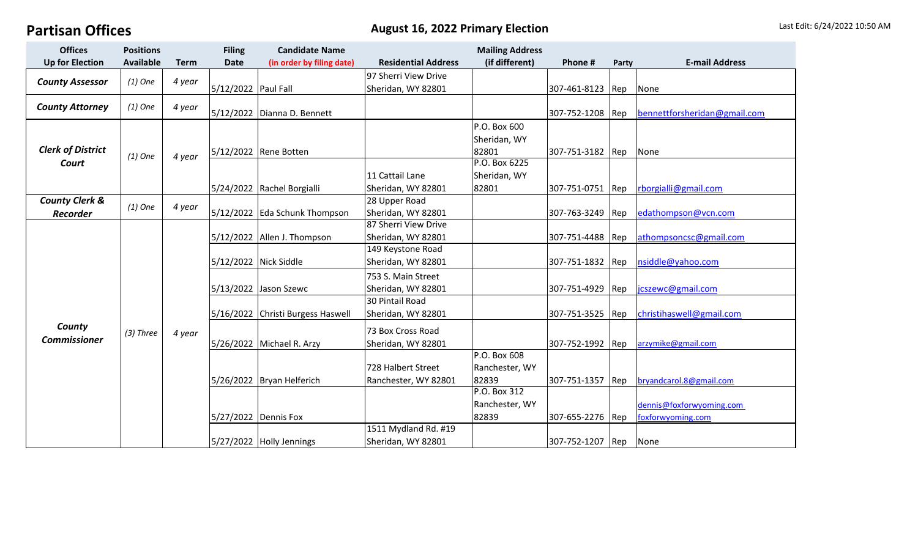## **Partisan Offices** and **Containing the Contract August 16, 2022 Primary Election** Last Edit: 6/24/2022 10:50 AM

| <b>Offices</b>                    | <b>Positions</b> |             | <b>Filing</b>       | <b>Candidate Name</b>      |                            | <b>Mailing Address</b> |                  |                |                              |
|-----------------------------------|------------------|-------------|---------------------|----------------------------|----------------------------|------------------------|------------------|----------------|------------------------------|
| <b>Up for Election</b>            | <b>Available</b> | <b>Term</b> | <b>Date</b>         | (in order by filing date)  | <b>Residential Address</b> | (if different)         | Phone #          | Party          | <b>E-mail Address</b>        |
| <b>County Assessor</b>            | $(1)$ One        | 4 year      |                     |                            | 97 Sherri View Drive       |                        |                  |                |                              |
|                                   |                  |             | 5/12/2022 Paul Fall |                            | Sheridan, WY 82801         |                        | 307-461-8123     | Rep            | None                         |
| <b>County Attorney</b>            | $(1)$ One        | 4 year      |                     |                            |                            |                        |                  |                |                              |
|                                   |                  |             | 5/12/2022           | Dianna D. Bennett          |                            |                        | 307-752-1208     | <b>I</b> Rep   | bennettforsheridan@gmail.com |
| <b>Clerk of District</b><br>Court | $(1)$ One        | 4 year      |                     |                            |                            | P.O. Box 600           |                  |                |                              |
|                                   |                  |             |                     |                            |                            | Sheridan, WY           |                  |                |                              |
|                                   |                  |             |                     | 5/12/2022 Rene Botten      |                            | 82801                  | 307-751-3182     | Rep            | None                         |
|                                   |                  |             |                     |                            |                            | P.O. Box 6225          |                  |                |                              |
|                                   |                  |             |                     |                            | 11 Cattail Lane            | Sheridan, WY           |                  |                |                              |
|                                   |                  |             |                     | 5/24/2022 Rachel Borgialli | Sheridan, WY 82801         | 82801                  | 307-751-0751     | $\mathsf{Rep}$ | rborgialli@gmail.com         |
| <b>County Clerk &amp;</b>         | $(1)$ One        | 4 year      |                     |                            | 28 Upper Road              |                        |                  |                |                              |
| <b>Recorder</b>                   |                  |             | 5/12/2022           | <b>Eda Schunk Thompson</b> | Sheridan, WY 82801         |                        | 307-763-3249     | Rep            | edathompson@vcn.com          |
| County<br><b>Commissioner</b>     | $(3)$ Three      | 4 year      |                     |                            | 87 Sherri View Drive       |                        |                  |                |                              |
|                                   |                  |             | 5/12/2022           | Allen J. Thompson          | Sheridan, WY 82801         |                        | 307-751-4488     | Rep            | athompsoncsc@gmail.com       |
|                                   |                  |             |                     |                            | 149 Keystone Road          |                        |                  |                |                              |
|                                   |                  |             |                     | 5/12/2022 Nick Siddle      | Sheridan, WY 82801         |                        | 307-751-1832 Rep |                | nsiddle@yahoo.com            |
|                                   |                  |             |                     |                            | 753 S. Main Street         |                        |                  |                |                              |
|                                   |                  |             |                     | 5/13/2022 Jason Szewc      | Sheridan, WY 82801         |                        | 307-751-4929     | <b>I</b> Rep   | jcszewc@gmail.com            |
|                                   |                  |             |                     |                            | 30 Pintail Road            |                        |                  |                |                              |
|                                   |                  |             | 5/16/2022           | Christi Burgess Haswell    | Sheridan, WY 82801         |                        | 307-751-3525     | $\mathsf{Rep}$ | christihaswell@gmail.com     |
|                                   |                  |             |                     |                            | 73 Box Cross Road          |                        |                  |                |                              |
|                                   |                  |             |                     | 5/26/2022 Michael R. Arzy  | Sheridan, WY 82801         |                        | 307-752-1992     | Rep            | arzymike@gmail.com           |
|                                   |                  |             |                     |                            |                            | P.O. Box 608           |                  |                |                              |
|                                   |                  |             |                     |                            | 728 Halbert Street         | Ranchester, WY         |                  |                |                              |
|                                   |                  |             |                     | 5/26/2022 Bryan Helferich  | Ranchester, WY 82801       | 82839                  | 307-751-1357     | Rep            | bryandcarol.8@gmail.com      |
|                                   |                  |             |                     |                            |                            | P.O. Box 312           |                  |                |                              |
|                                   |                  |             |                     |                            |                            | Ranchester, WY         |                  |                | dennis@foxforwyoming.com     |
|                                   |                  |             |                     | 5/27/2022 Dennis Fox       |                            | 82839                  | 307-655-2276 Rep |                | foxforwyoming.com            |
|                                   |                  |             |                     |                            | 1511 Mydland Rd. #19       |                        |                  |                |                              |
|                                   |                  |             |                     | 5/27/2022 Holly Jennings   | Sheridan, WY 82801         |                        | 307-752-1207 Rep |                | None                         |